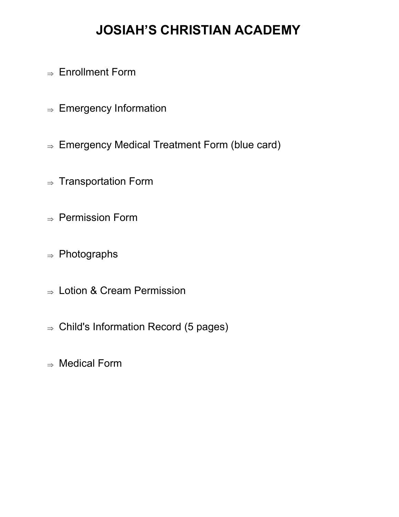# **JOSIAH'S CHRISTIAN ACADEMY**

- $\Rightarrow$  Enrollment Form
- $\Rightarrow$  Emergency Information
- $\Rightarrow$  Emergency Medical Treatment Form (blue card)
- $\Rightarrow$  Transportation Form
- $\Rightarrow$  Permission Form
- $\Rightarrow$  Photographs
- $\Rightarrow$  Lotion & Cream Permission
- $\Rightarrow$  Child's Information Record (5 pages)
- $\Rightarrow$  Medical Form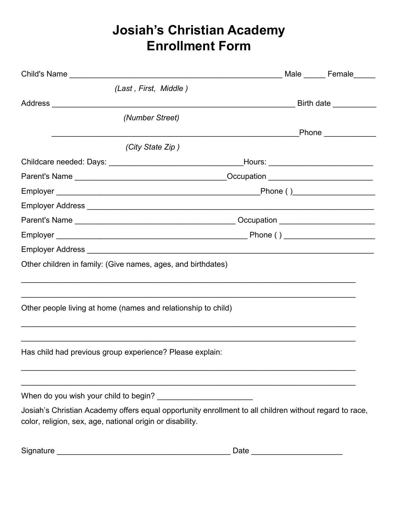## **Josiah's Christian Academy Enrollment Form**

|                                                               | Male _______ Female______                                                                              |
|---------------------------------------------------------------|--------------------------------------------------------------------------------------------------------|
| (Last, First, Middle)                                         |                                                                                                        |
|                                                               |                                                                                                        |
| (Number Street)                                               |                                                                                                        |
|                                                               | Phone _____________                                                                                    |
| (City State Zip)                                              |                                                                                                        |
|                                                               |                                                                                                        |
|                                                               |                                                                                                        |
|                                                               |                                                                                                        |
|                                                               |                                                                                                        |
|                                                               |                                                                                                        |
|                                                               |                                                                                                        |
|                                                               |                                                                                                        |
| Other children in family: (Give names, ages, and birthdates)  |                                                                                                        |
| Other people living at home (names and relationship to child) |                                                                                                        |
| Has child had previous group experience? Please explain:      |                                                                                                        |
|                                                               |                                                                                                        |
| color, religion, sex, age, national origin or disability.     | Josiah's Christian Academy offers equal opportunity enrollment to all children without regard to race, |
|                                                               |                                                                                                        |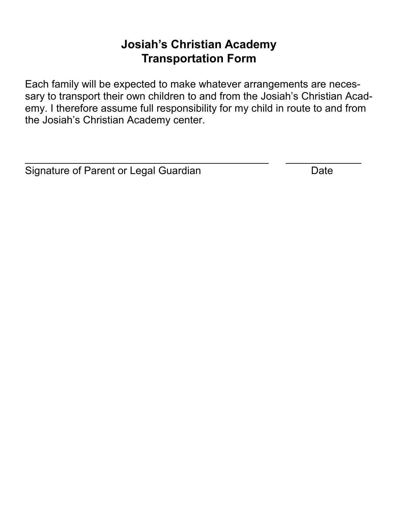### **Josiah's Christian Academy Transportation Form**

Each family will be expected to make whatever arrangements are necessary to transport their own children to and from the Josiah's Christian Academy. I therefore assume full responsibility for my child in route to and from the Josiah's Christian Academy center.

 $\_$  , and the contribution of  $\overline{a}$  , and  $\overline{a}$  , and  $\overline{a}$  , and  $\overline{a}$  , and  $\overline{a}$  , and  $\overline{a}$  , and  $\overline{a}$  , and  $\overline{a}$  , and  $\overline{a}$  , and  $\overline{a}$  , and  $\overline{a}$  , and  $\overline{a}$  , and  $\overline{a}$  ,

Signature of Parent or Legal Guardian Date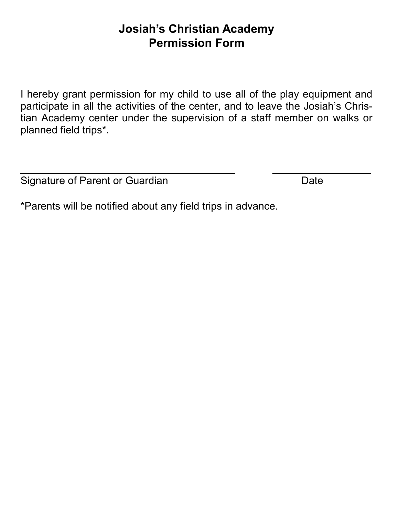### **Josiah's Christian Academy Permission Form**

I hereby grant permission for my child to use all of the play equipment and participate in all the activities of the center, and to leave the Josiah's Christian Academy center under the supervision of a staff member on walks or planned field trips\*.

 $\_$  , and the set of the set of the set of the set of the set of the set of the set of the set of the set of the set of the set of the set of the set of the set of the set of the set of the set of the set of the set of th

Signature of Parent or Guardian Date Date

\*Parents will be notified about any field trips in advance.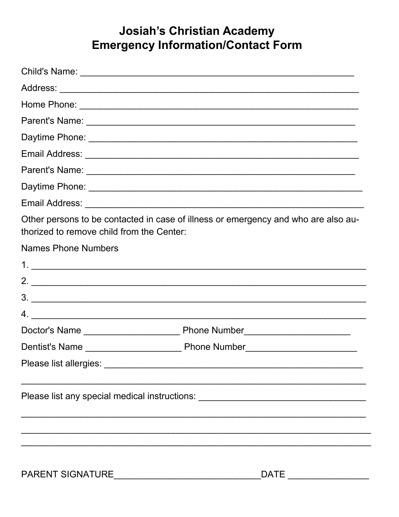## **Josiah's Christian Academy Emergency Information/Contact Form**

| thorized to remove child from the Center: | Other persons to be contacted in case of illness or emergency and who are also au- |
|-------------------------------------------|------------------------------------------------------------------------------------|
| <b>Names Phone Numbers</b>                |                                                                                    |
|                                           |                                                                                    |
|                                           |                                                                                    |
|                                           | 3.                                                                                 |
|                                           |                                                                                    |
|                                           |                                                                                    |
|                                           |                                                                                    |
|                                           |                                                                                    |
|                                           | Please list any special medical instructions: __________________________________   |
|                                           |                                                                                    |
|                                           |                                                                                    |
| PARENT SIGNATURE                          |                                                                                    |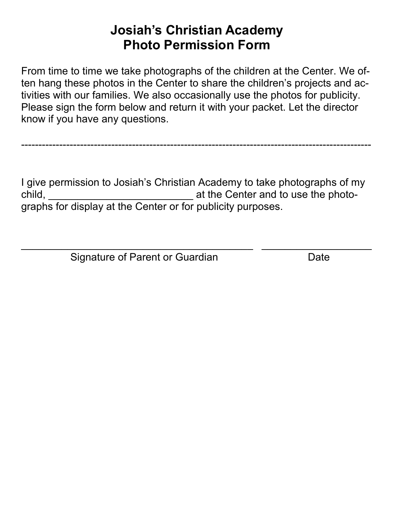## **Josiah's Christian Academy Photo Permission Form**

From time to time we take photographs of the children at the Center. We often hang these photos in the Center to share the children's projects and activities with our families. We also occasionally use the photos for publicity. Please sign the form below and return it with your packet. Let the director know if you have any questions.

-----------------------------------------------------------------------------------------------------

I give permission to Josiah's Christian Academy to take photographs of my child, \_\_\_\_\_\_\_\_\_\_\_\_\_\_\_\_\_\_\_\_\_\_\_\_\_ at the Center and to use the photographs for display at the Center or for publicity purposes.

 $\_$  , and the set of the set of the set of the set of the set of the set of the set of the set of the set of the set of the set of the set of the set of the set of the set of the set of the set of the set of the set of th

Signature of Parent or Guardian **Date**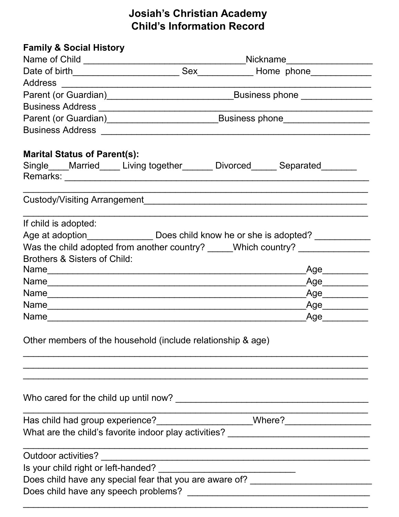### **Josiah's Christian Academy Child's Information Record**

| <b>Family &amp; Social History</b>                                                                  |  |  |                              |  |
|-----------------------------------------------------------------------------------------------------|--|--|------------------------------|--|
|                                                                                                     |  |  |                              |  |
|                                                                                                     |  |  |                              |  |
|                                                                                                     |  |  |                              |  |
|                                                                                                     |  |  |                              |  |
|                                                                                                     |  |  |                              |  |
|                                                                                                     |  |  |                              |  |
|                                                                                                     |  |  |                              |  |
| <b>Marital Status of Parent(s):</b>                                                                 |  |  |                              |  |
|                                                                                                     |  |  |                              |  |
|                                                                                                     |  |  |                              |  |
| If child is adopted:                                                                                |  |  |                              |  |
| Age at adoption________________________ Does child know he or she is adopted? _____________________ |  |  |                              |  |
| Was the child adopted from another country? _____Which country? ________________                    |  |  |                              |  |
| Brothers & Sisters of Child:                                                                        |  |  |                              |  |
|                                                                                                     |  |  | Age__________                |  |
|                                                                                                     |  |  |                              |  |
|                                                                                                     |  |  | $\overline{\phantom{a}}$ Age |  |
|                                                                                                     |  |  | $\overbrace{\text{Age}}$     |  |
| Name                                                                                                |  |  | Age                          |  |
| Other members of the household (include relationship & age)                                         |  |  |                              |  |
|                                                                                                     |  |  |                              |  |
| Has child had group experience?____________________Where?_______________________                    |  |  |                              |  |
| What are the child's favorite indoor play activities? __________________________                    |  |  |                              |  |
|                                                                                                     |  |  |                              |  |
|                                                                                                     |  |  |                              |  |
| Does child have any special fear that you are aware of? ________________________                    |  |  |                              |  |
|                                                                                                     |  |  |                              |  |
|                                                                                                     |  |  |                              |  |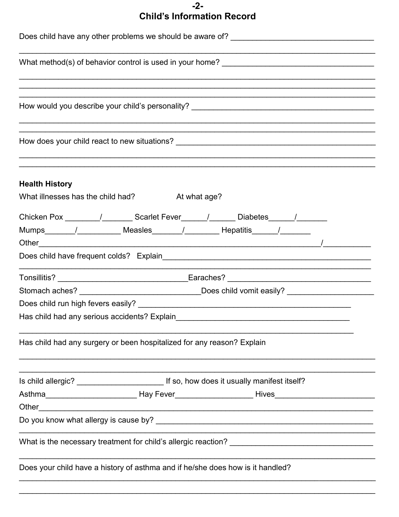#### $-2-$ **Child's Information Record**

| Does child have any other problems we should be aware of? _______________________                              |  |  |  |  |
|----------------------------------------------------------------------------------------------------------------|--|--|--|--|
|                                                                                                                |  |  |  |  |
|                                                                                                                |  |  |  |  |
|                                                                                                                |  |  |  |  |
|                                                                                                                |  |  |  |  |
|                                                                                                                |  |  |  |  |
|                                                                                                                |  |  |  |  |
|                                                                                                                |  |  |  |  |
|                                                                                                                |  |  |  |  |
| <b>Health History</b><br>What illnesses has the child had? At what age?                                        |  |  |  |  |
|                                                                                                                |  |  |  |  |
|                                                                                                                |  |  |  |  |
| Mumps / Measles / Measles / Hepatitis / Mumps / Mumps / Measles / Measles / Mumps / Mumps / Mumps / Mumps / Mu |  |  |  |  |
| Other $\sqrt{2\pi}$                                                                                            |  |  |  |  |
|                                                                                                                |  |  |  |  |
|                                                                                                                |  |  |  |  |
| Stomach aches? ________________________________Does child vomit easily? ____________________________           |  |  |  |  |
|                                                                                                                |  |  |  |  |
| Has child had any serious accidents? Explain                                                                   |  |  |  |  |
| Has child had any surgery or been hospitalized for any reason? Explain                                         |  |  |  |  |
|                                                                                                                |  |  |  |  |
|                                                                                                                |  |  |  |  |
|                                                                                                                |  |  |  |  |
|                                                                                                                |  |  |  |  |
|                                                                                                                |  |  |  |  |
| Does your child have a history of asthma and if he/she does how is it handled?                                 |  |  |  |  |
|                                                                                                                |  |  |  |  |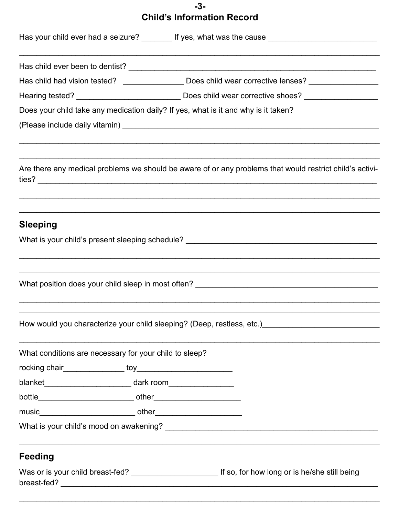### $-3-$ **Child's Information Record**

|                                                                                  |                                                                                                                                                                                                                                                                                                  | Has your child ever had a seizure? ________ If yes, what was the cause _____________________________                                |
|----------------------------------------------------------------------------------|--------------------------------------------------------------------------------------------------------------------------------------------------------------------------------------------------------------------------------------------------------------------------------------------------|-------------------------------------------------------------------------------------------------------------------------------------|
|                                                                                  |                                                                                                                                                                                                                                                                                                  |                                                                                                                                     |
|                                                                                  |                                                                                                                                                                                                                                                                                                  | Has child had vision tested? _________________ Does child wear corrective lenses? _________________                                 |
|                                                                                  |                                                                                                                                                                                                                                                                                                  | Hearing tested? _________________________________Does child wear corrective shoes? ________________                                 |
|                                                                                  |                                                                                                                                                                                                                                                                                                  | Does your child take any medication daily? If yes, what is it and why is it taken?                                                  |
|                                                                                  |                                                                                                                                                                                                                                                                                                  |                                                                                                                                     |
|                                                                                  |                                                                                                                                                                                                                                                                                                  | Are there any medical problems we should be aware of or any problems that would restrict child's activi-                            |
| <b>Sleeping</b>                                                                  |                                                                                                                                                                                                                                                                                                  | What is your child's present sleeping schedule? _________________________________                                                   |
|                                                                                  |                                                                                                                                                                                                                                                                                                  |                                                                                                                                     |
|                                                                                  |                                                                                                                                                                                                                                                                                                  | ,我们也不会有什么。""我们的人,我们也不会有什么?""我们的人,我们也不会有什么?""我们的人,我们也不会有什么?""我们的人,我们也不会有什么?""我们的人                                                    |
|                                                                                  |                                                                                                                                                                                                                                                                                                  |                                                                                                                                     |
| What conditions are necessary for your child to sleep?                           |                                                                                                                                                                                                                                                                                                  |                                                                                                                                     |
|                                                                                  |                                                                                                                                                                                                                                                                                                  |                                                                                                                                     |
| blanket __________________________________ dark room____________________________ |                                                                                                                                                                                                                                                                                                  |                                                                                                                                     |
|                                                                                  |                                                                                                                                                                                                                                                                                                  |                                                                                                                                     |
|                                                                                  |                                                                                                                                                                                                                                                                                                  |                                                                                                                                     |
|                                                                                  |                                                                                                                                                                                                                                                                                                  |                                                                                                                                     |
| <b>Feeding</b>                                                                   |                                                                                                                                                                                                                                                                                                  |                                                                                                                                     |
|                                                                                  | $\mathbf{r}$ and $\mathbf{r}$ are $\mathbf{r}$ and $\mathbf{r}$ and $\mathbf{r}$ are $\mathbf{r}$ and $\mathbf{r}$ are $\mathbf{r}$ and $\mathbf{r}$ are $\mathbf{r}$ and $\mathbf{r}$ are $\mathbf{r}$ and $\mathbf{r}$ are $\mathbf{r}$ and $\mathbf{r}$ are $\mathbf{r}$ and $\mathbf{r}$ are | $\mathbf{r}$ and $\mathbf{r}$ and $\mathbf{r}$ and $\mathbf{r}$ and $\mathbf{r}$ and $\mathbf{r}$ and $\mathbf{r}$ and $\mathbf{r}$ |

Was or is your child breast-fed? \_\_\_\_\_\_\_\_\_\_\_\_\_\_\_\_\_\_\_\_\_\_\_\_\_\_\_\_\_\_\_\_\_ If so, for how long or is he/she still being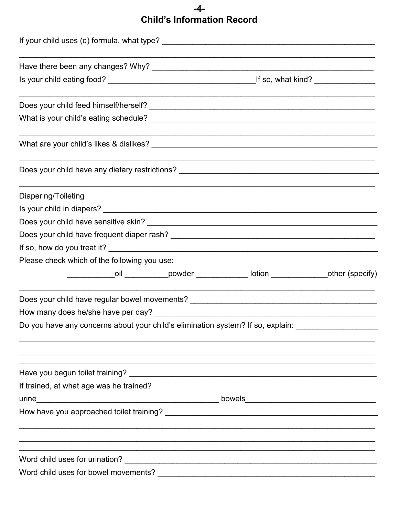### $-4-$ **Child's Information Record**

| Diapering/Toileting                                                               |                                                                                         |  |
|-----------------------------------------------------------------------------------|-----------------------------------------------------------------------------------------|--|
|                                                                                   |                                                                                         |  |
|                                                                                   |                                                                                         |  |
|                                                                                   |                                                                                         |  |
|                                                                                   |                                                                                         |  |
| Please check which of the following you use:                                      |                                                                                         |  |
|                                                                                   | ______________oil ____________powder ______________lotion ______________other (specify) |  |
| Does your child have regular bowel movements? ___________________________________ | <u> 1989 - Johann Stein, fransk politik (d. 1989)</u>                                   |  |
|                                                                                   |                                                                                         |  |
| Do you have any concerns about your child's elimination system? If so, explain:   |                                                                                         |  |
|                                                                                   |                                                                                         |  |
| If trained, at what age was he trained?                                           |                                                                                         |  |
|                                                                                   |                                                                                         |  |
|                                                                                   |                                                                                         |  |
|                                                                                   |                                                                                         |  |
|                                                                                   |                                                                                         |  |
|                                                                                   |                                                                                         |  |